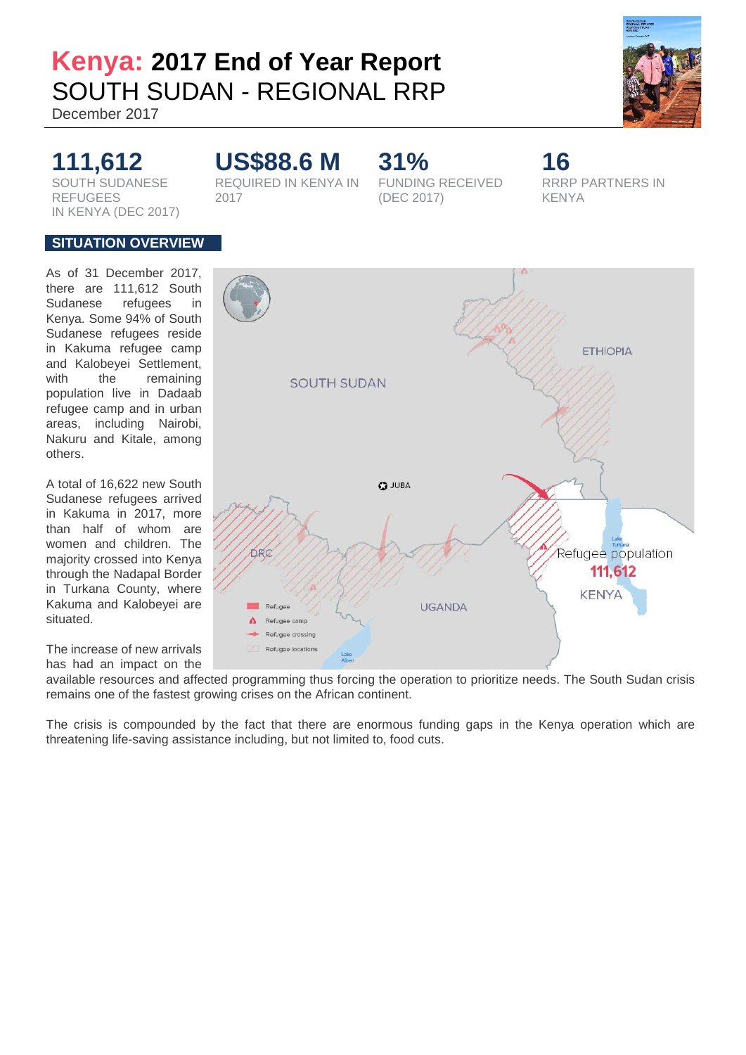# **Kenya: 2017 End of Year Report**  SOUTH SUDAN - REGIONAL RRP

December 2017

# **111,612 US\$88.6 M 31% 16** SOUTH SUDANESE REFUGEES IN KENYA (DEC 2017)

REQUIRED IN KENYA IN 2017

FUNDING RECEIVED (DEC 2017)

RRRP PARTNERS IN KENYA

# **SITUATION OVERVIEW**

As of 31 December 2017, there are 111,612 South Sudanese refugees in Kenya. Some 94% of South Sudanese refugees reside in Kakuma refugee camp and Kalobeyei Settlement, with the remaining population live in Dadaab refugee camp and in urban areas, including Nairobi, Nakuru and Kitale, among others.

A total of 16,622 new South Sudanese refugees arrived in Kakuma in 2017, more than half of whom are women and children. The majority crossed into Kenya through the Nadapal Border in Turkana County, where Kakuma and Kalobeyei are situated.

The increase of new arrivals has had an impact on the

**ETHIOPIA SOUTH SUDAN Q** JUBA Refugee population DRC 111,612 **KENYA** Refugee **UGANDA** Refugee camp Refugee crossing Refugee locations Lake

available resources and affected programming thus forcing the operation to prioritize needs. The South Sudan crisis remains one of the fastest growing crises on the African continent.

The crisis is compounded by the fact that there are enormous funding gaps in the Kenya operation which are threatening life-saving assistance including, but not limited to, food cuts.





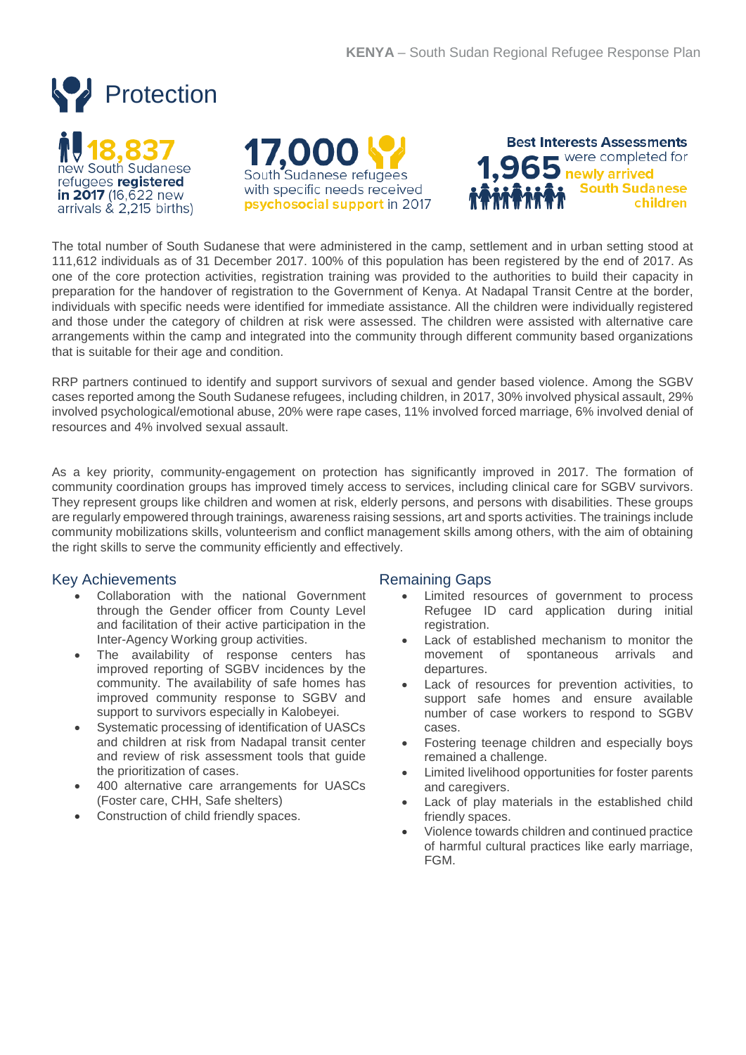





The total number of South Sudanese that were administered in the camp, settlement and in urban setting stood at 111,612 individuals as of 31 December 2017. 100% of this population has been registered by the end of 2017. As one of the core protection activities, registration training was provided to the authorities to build their capacity in preparation for the handover of registration to the Government of Kenya. At Nadapal Transit Centre at the border, individuals with specific needs were identified for immediate assistance. All the children were individually registered and those under the category of children at risk were assessed. The children were assisted with alternative care arrangements within the camp and integrated into the community through different community based organizations that is suitable for their age and condition.

RRP partners continued to identify and support survivors of sexual and gender based violence. Among the SGBV cases reported among the South Sudanese refugees, including children, in 2017, 30% involved physical assault, 29% involved psychological/emotional abuse, 20% were rape cases, 11% involved forced marriage, 6% involved denial of resources and 4% involved sexual assault.

As a key priority, community-engagement on protection has significantly improved in 2017. The formation of community coordination groups has improved timely access to services, including clinical care for SGBV survivors. They represent groups like children and women at risk, elderly persons, and persons with disabilities. These groups are regularly empowered through trainings, awareness raising sessions, art and sports activities. The trainings include community mobilizations skills, volunteerism and conflict management skills among others, with the aim of obtaining the right skills to serve the community efficiently and effectively.

# Key Achievements

- Collaboration with the national Government through the Gender officer from County Level and facilitation of their active participation in the Inter-Agency Working group activities.
- The availability of response centers has improved reporting of SGBV incidences by the community. The availability of safe homes has improved community response to SGBV and support to survivors especially in Kalobeyei.
- Systematic processing of identification of UASCs and children at risk from Nadapal transit center and review of risk assessment tools that guide the prioritization of cases.
- 400 alternative care arrangements for UASCs (Foster care, CHH, Safe shelters)
- Construction of child friendly spaces.

- Limited resources of government to process Refugee ID card application during initial registration.
- Lack of established mechanism to monitor the movement of spontaneous arrivals and departures.
- Lack of resources for prevention activities, to support safe homes and ensure available number of case workers to respond to SGBV cases.
- Fostering teenage children and especially boys remained a challenge.
- Limited livelihood opportunities for foster parents and caregivers.
- Lack of play materials in the established child friendly spaces.
- Violence towards children and continued practice of harmful cultural practices like early marriage, FGM.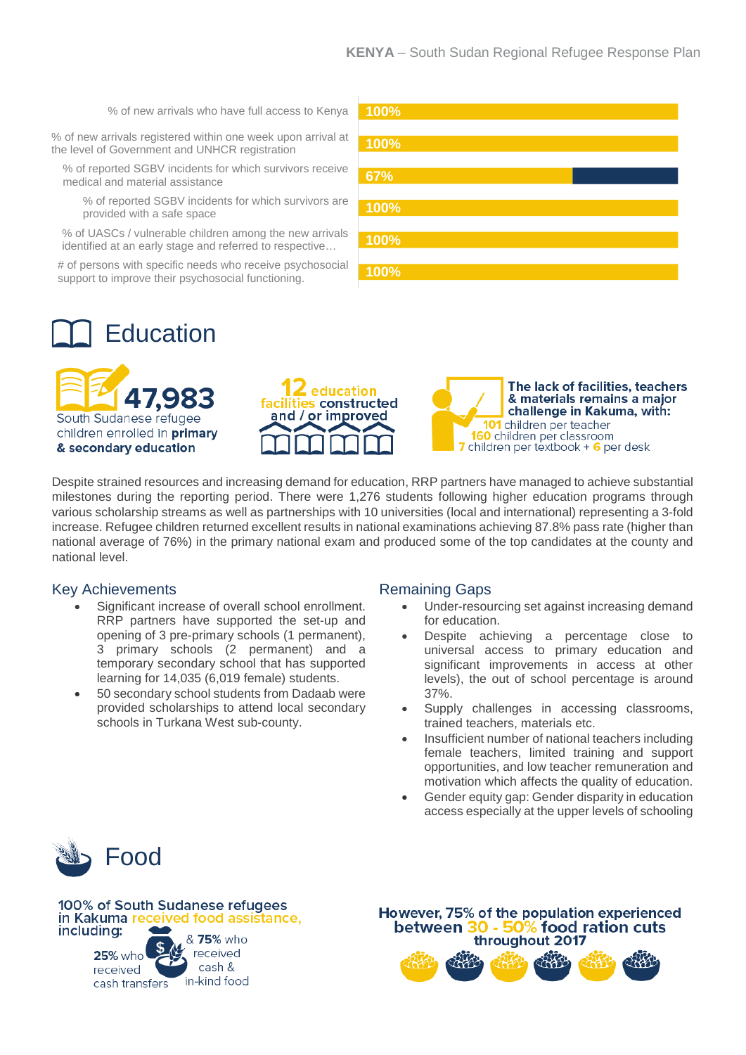% of new arrivals who have full access to Kenya

% of new arrivals registered within one week upon arrival at the level of Government and UNHCR registration

% of reported SGBV incidents for which survivors receive medical and material assistance

% of reported SGBV incidents for which survivors are provided with a safe space

% of UASCs / vulnerable children among the new arrivals identified at an early stage and referred to respective…

# of persons with specific needs who receive psychosocial support to improve their psychosocial functioning.



# **Education**





The lack of facilities, teachers & materials remains a major challenge in Kakuma, with: 101 children per teacher **160** children per classroom children per textbook  $+$  6 per desk

Despite strained resources and increasing demand for education, RRP partners have managed to achieve substantial milestones during the reporting period. There were 1,276 students following higher education programs through various scholarship streams as well as partnerships with 10 universities (local and international) representing a 3-fold increase. Refugee children returned excellent results in national examinations achieving 87.8% pass rate (higher than national average of 76%) in the primary national exam and produced some of the top candidates at the county and national level.

# Key Achievements

- Significant increase of overall school enrollment. RRP partners have supported the set-up and opening of 3 pre-primary schools (1 permanent), 3 primary schools (2 permanent) and a temporary secondary school that has supported learning for 14,035 (6,019 female) students.
- 50 secondary school students from Dadaab were provided scholarships to attend local secondary schools in Turkana West sub-county.

# Remaining Gaps

- Under-resourcing set against increasing demand for education.
- Despite achieving a percentage close to universal access to primary education and significant improvements in access at other levels), the out of school percentage is around 37%.
- Supply challenges in accessing classrooms, trained teachers, materials etc.
- Insufficient number of national teachers including female teachers, limited training and support opportunities, and low teacher remuneration and motivation which affects the quality of education.
- Gender equity gap: Gender disparity in education access especially at the upper levels of schooling





However, 75% of the population experienced 0 - 50% food ration cuts between 3 throughout 2017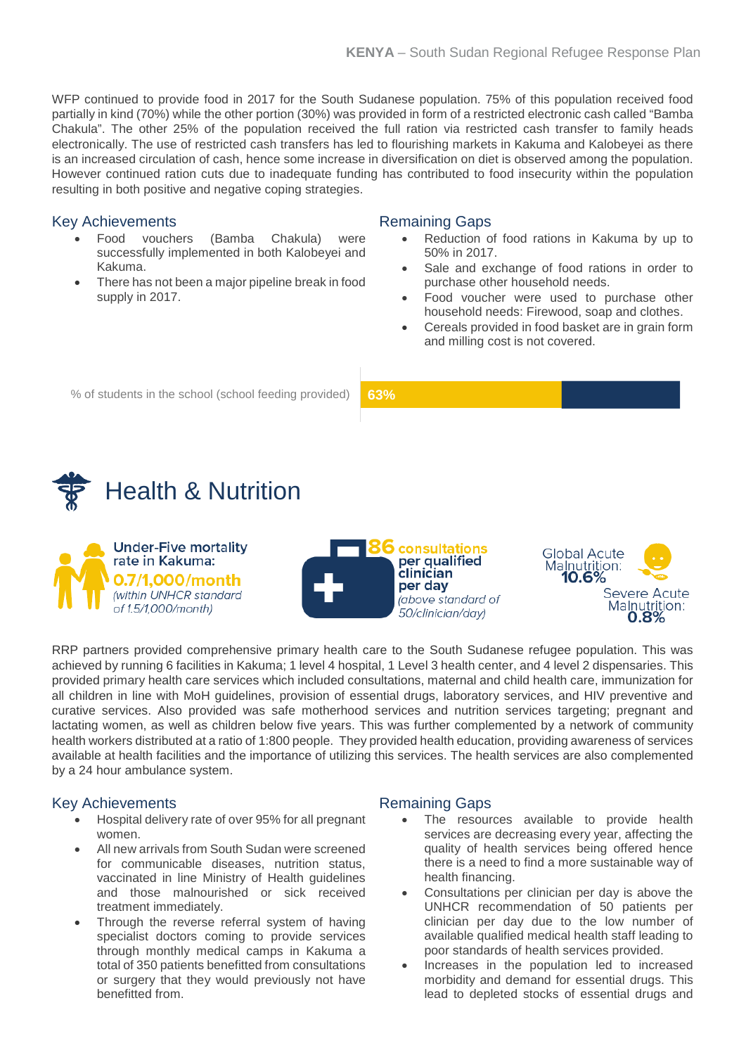WFP continued to provide food in 2017 for the South Sudanese population. 75% of this population received food partially in kind (70%) while the other portion (30%) was provided in form of a restricted electronic cash called "Bamba Chakula". The other 25% of the population received the full ration via restricted cash transfer to family heads electronically. The use of restricted cash transfers has led to flourishing markets in Kakuma and Kalobeyei as there is an increased circulation of cash, hence some increase in diversification on diet is observed among the population. However continued ration cuts due to inadequate funding has contributed to food insecurity within the population resulting in both positive and negative coping strategies.

### Key Achievements

- Food vouchers (Bamba Chakula) were successfully implemented in both Kalobeyei and Kakuma.
- There has not been a major pipeline break in food supply in 2017.

#### Remaining Gaps

- Reduction of food rations in Kakuma by up to 50% in 2017.
- Sale and exchange of food rations in order to purchase other household needs.
- Food voucher were used to purchase other household needs: Firewood, soap and clothes.
- Cereals provided in food basket are in grain form and milling cost is not covered.

% of students in the school (school feeding provided) **63%**









RRP partners provided comprehensive primary health care to the South Sudanese refugee population. This was achieved by running 6 facilities in Kakuma; 1 level 4 hospital, 1 Level 3 health center, and 4 level 2 dispensaries. This provided primary health care services which included consultations, maternal and child health care, immunization for all children in line with MoH guidelines, provision of essential drugs, laboratory services, and HIV preventive and curative services. Also provided was safe motherhood services and nutrition services targeting; pregnant and lactating women, as well as children below five years. This was further complemented by a network of community health workers distributed at a ratio of 1:800 people. They provided health education, providing awareness of services available at health facilities and the importance of utilizing this services. The health services are also complemented by a 24 hour ambulance system.

# Key Achievements

- Hospital delivery rate of over 95% for all pregnant women.
- All new arrivals from South Sudan were screened for communicable diseases, nutrition status, vaccinated in line Ministry of Health guidelines and those malnourished or sick received treatment immediately.
- Through the reverse referral system of having specialist doctors coming to provide services through monthly medical camps in Kakuma a total of 350 patients benefitted from consultations or surgery that they would previously not have benefitted from.

- The resources available to provide health services are decreasing every year, affecting the quality of health services being offered hence there is a need to find a more sustainable way of health financing.
- Consultations per clinician per day is above the UNHCR recommendation of 50 patients per clinician per day due to the low number of available qualified medical health staff leading to poor standards of health services provided.
- Increases in the population led to increased morbidity and demand for essential drugs. This lead to depleted stocks of essential drugs and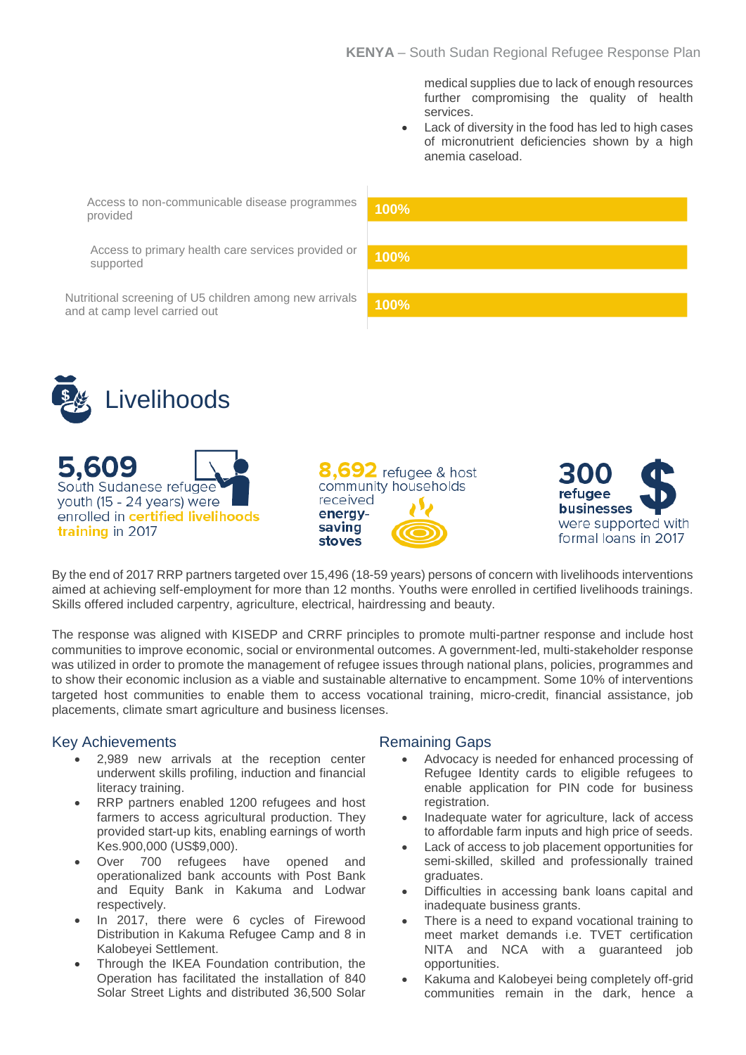medical supplies due to lack of enough resources further compromising the quality of health services.

• Lack of diversity in the food has led to high cases of micronutrient deficiencies shown by a high anemia caseload.

Access to non-communicable disease programmes provided

Access to primary health care services provided or supported

Nutritional screening of U5 children among new arrivals and at camp level carried out





5,609 South Sudanese refugee youth (15 - 24 years) were enrolled in certified livelihoods training in 2017





By the end of 2017 RRP partners targeted over 15,496 (18-59 years) persons of concern with livelihoods interventions aimed at achieving self-employment for more than 12 months. Youths were enrolled in certified livelihoods trainings. Skills offered included carpentry, agriculture, electrical, hairdressing and beauty.

The response was aligned with KISEDP and CRRF principles to promote multi-partner response and include host communities to improve economic, social or environmental outcomes. A government-led, multi-stakeholder response was utilized in order to promote the management of refugee issues through national plans, policies, programmes and to show their economic inclusion as a viable and sustainable alternative to encampment. Some 10% of interventions targeted host communities to enable them to access vocational training, micro-credit, financial assistance, job placements, climate smart agriculture and business licenses.

# Key Achievements

- 2,989 new arrivals at the reception center underwent skills profiling, induction and financial literacy training.
- RRP partners enabled 1200 refugees and host farmers to access agricultural production. They provided start-up kits, enabling earnings of worth Kes.900,000 (US\$9,000).
- Over 700 refugees have opened and operationalized bank accounts with Post Bank and Equity Bank in Kakuma and Lodwar respectively.
- In 2017, there were 6 cycles of Firewood Distribution in Kakuma Refugee Camp and 8 in Kalobeyei Settlement.
- Through the IKEA Foundation contribution, the Operation has facilitated the installation of 840 Solar Street Lights and distributed 36,500 Solar

- Advocacy is needed for enhanced processing of Refugee Identity cards to eligible refugees to enable application for PIN code for business registration.
- Inadequate water for agriculture, lack of access to affordable farm inputs and high price of seeds.
- Lack of access to job placement opportunities for semi-skilled, skilled and professionally trained graduates.
- Difficulties in accessing bank loans capital and inadequate business grants.
- There is a need to expand vocational training to meet market demands i.e. TVET certification NITA and NCA with a guaranteed job opportunities.
- Kakuma and Kalobeyei being completely off-grid communities remain in the dark, hence a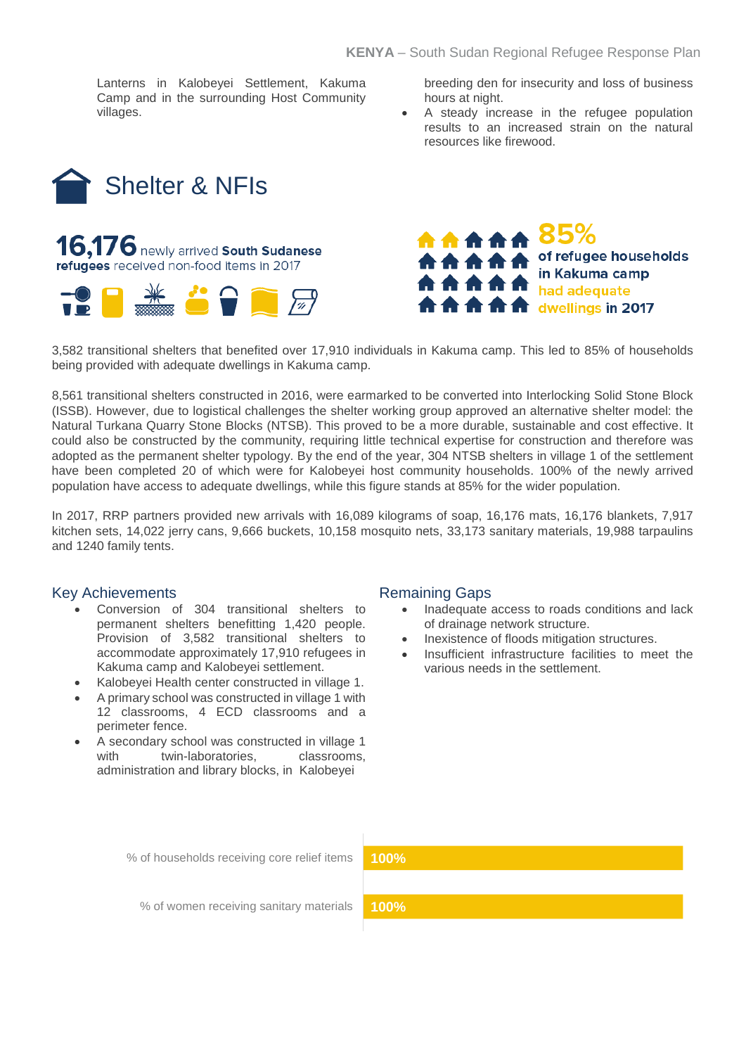Lanterns in Kalobeyei Settlement, Kakuma Camp and in the surrounding Host Community villages.

breeding den for insecurity and loss of business hours at night.

• A steady increase in the refugee population results to an increased strain on the natural resources like firewood.





\*\*\*\*\* 85% A A A A of refugee households in Kakuma camp had adequate **合合合合** dwellings in 2017

3,582 transitional shelters that benefited over 17,910 individuals in Kakuma camp. This led to 85% of households being provided with adequate dwellings in Kakuma camp.

8,561 transitional shelters constructed in 2016, were earmarked to be converted into Interlocking Solid Stone Block (ISSB). However, due to logistical challenges the shelter working group approved an alternative shelter model: the Natural Turkana Quarry Stone Blocks (NTSB). This proved to be a more durable, sustainable and cost effective. It could also be constructed by the community, requiring little technical expertise for construction and therefore was adopted as the permanent shelter typology. By the end of the year, 304 NTSB shelters in village 1 of the settlement have been completed 20 of which were for Kalobeyei host community households. 100% of the newly arrived population have access to adequate dwellings, while this figure stands at 85% for the wider population.

In 2017, RRP partners provided new arrivals with 16,089 kilograms of soap, 16,176 mats, 16,176 blankets, 7,917 kitchen sets, 14,022 jerry cans, 9,666 buckets, 10,158 mosquito nets, 33,173 sanitary materials, 19,988 tarpaulins and 1240 family tents.

#### Key Achievements

- Conversion of 304 transitional shelters to permanent shelters benefitting 1,420 people. Provision of 3,582 transitional shelters to accommodate approximately 17,910 refugees in Kakuma camp and Kalobeyei settlement.
- Kalobeyei Health center constructed in village 1.
- A primary school was constructed in village 1 with 12 classrooms, 4 ECD classrooms and a perimeter fence.
- A secondary school was constructed in village 1 with twin-laboratories, classrooms, administration and library blocks, in Kalobeyei

#### Remaining Gaps

- Inadequate access to roads conditions and lack of drainage network structure.
- Inexistence of floods mitigation structures.
- Insufficient infrastructure facilities to meet the various needs in the settlement.

% of households receiving core relief items

**100%**

% of women receiving sanitary materials

**100%**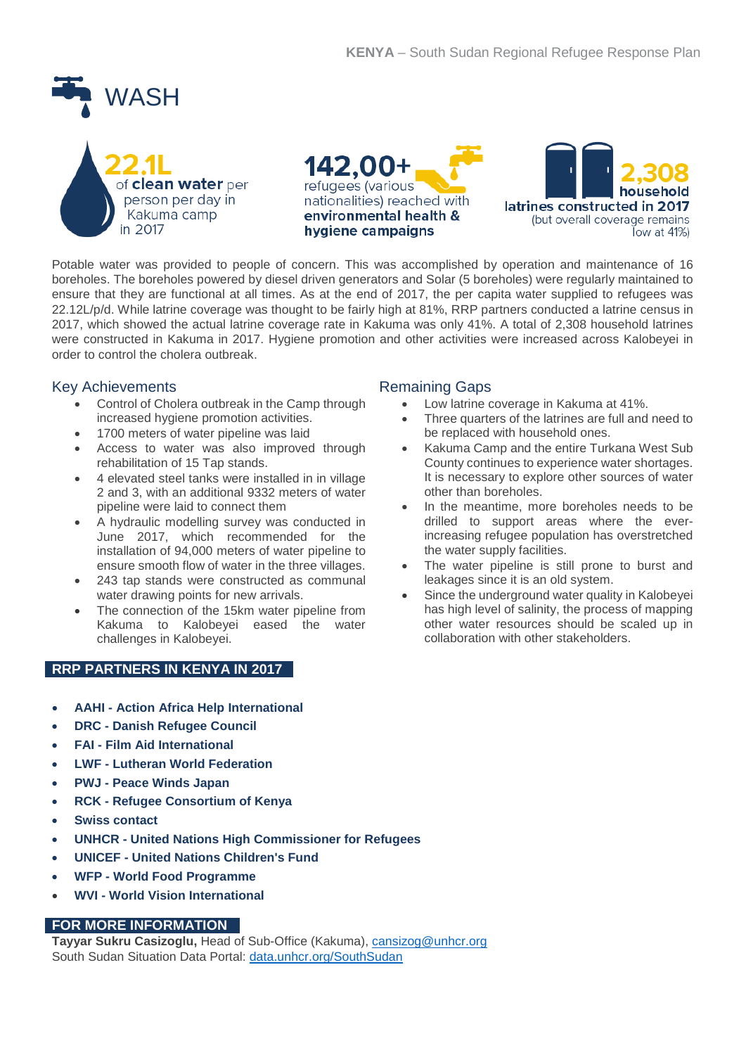



Potable water was provided to people of concern. This was accomplished by operation and maintenance of 16 boreholes. The boreholes powered by diesel driven generators and Solar (5 boreholes) were regularly maintained to ensure that they are functional at all times. As at the end of 2017, the per capita water supplied to refugees was 22.12L/p/d. While latrine coverage was thought to be fairly high at 81%, RRP partners conducted a latrine census in 2017, which showed the actual latrine coverage rate in Kakuma was only 41%. A total of 2,308 household latrines were constructed in Kakuma in 2017. Hygiene promotion and other activities were increased across Kalobeyei in order to control the cholera outbreak.

# Key Achievements

- Control of Cholera outbreak in the Camp through increased hygiene promotion activities.
- 1700 meters of water pipeline was laid
- Access to water was also improved through rehabilitation of 15 Tap stands.
- 4 elevated steel tanks were installed in in village 2 and 3, with an additional 9332 meters of water pipeline were laid to connect them
- A hydraulic modelling survey was conducted in June 2017, which recommended for the installation of 94,000 meters of water pipeline to ensure smooth flow of water in the three villages.
- 243 tap stands were constructed as communal water drawing points for new arrivals.
- The connection of the 15km water pipeline from Kakuma to Kalobeyei eased the water challenges in Kalobeyei.

# **RRP PARTNERS IN KENYA IN 2017**

- **AAHI - Action Africa Help International**
- **DRC - Danish Refugee Council**
- **FAI - Film Aid International**
- **LWF - Lutheran World Federation**
- **PWJ - Peace Winds Japan**
- **RCK - Refugee Consortium of Kenya**
- **Swiss contact**
- **UNHCR - United Nations High Commissioner for Refugees**
- **UNICEF - United Nations Children's Fund**
- **WFP - World Food Programme**
- **WVI - World Vision International**

# **FOR MORE INFORMATION**

**Tayyar Sukru Casizoglu,** Head of Sub-Office (Kakuma), [cansizog@unhcr.org](mailto:cansizog@unhcr.org) South Sudan Situation Data Portal: [data.unhcr.org/SouthSudan](http://data.unhcr.org/SouthSudan)

- Low latrine coverage in Kakuma at 41%.
- Three quarters of the latrines are full and need to be replaced with household ones.
- Kakuma Camp and the entire Turkana West Sub County continues to experience water shortages. It is necessary to explore other sources of water other than boreholes.
- In the meantime, more boreholes needs to be drilled to support areas where the everincreasing refugee population has overstretched the water supply facilities.
- The water pipeline is still prone to burst and leakages since it is an old system.
- Since the underground water quality in Kalobeyei has high level of salinity, the process of mapping other water resources should be scaled up in collaboration with other stakeholders.